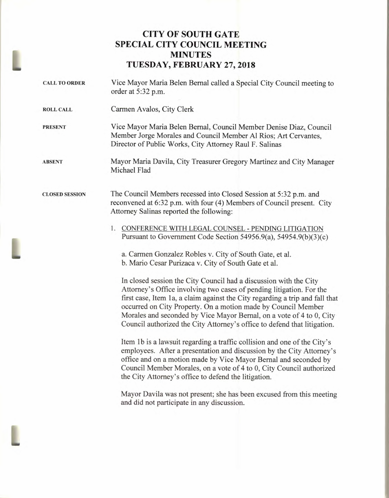## **CITY OF SOUTH GATE SPECIAL CITY COUNCIL MEETING MINUTES TUESDAY, FEBRUARY 27, 2018**

| <b>CALL TO ORDER</b>  | Vice Mayor Maria Belen Bernal called a Special City Council meeting to<br>order at 5:32 p.m.                                                                                                                                                                                                                                                                                                                                                   |
|-----------------------|------------------------------------------------------------------------------------------------------------------------------------------------------------------------------------------------------------------------------------------------------------------------------------------------------------------------------------------------------------------------------------------------------------------------------------------------|
| <b>ROLL CALL</b>      | Carmen Avalos, City Clerk                                                                                                                                                                                                                                                                                                                                                                                                                      |
| <b>PRESENT</b>        | Vice Mayor Maria Belen Bernal, Council Member Denise Diaz, Council<br>Member Jorge Morales and Council Member Al Rios; Art Cervantes,<br>Director of Public Works, City Attorney Raul F. Salinas                                                                                                                                                                                                                                               |
| <b>ABSENT</b>         | Mayor Maria Davila, City Treasurer Gregory Martinez and City Manager<br>Michael Flad                                                                                                                                                                                                                                                                                                                                                           |
| <b>CLOSED SESSION</b> | The Council Members recessed into Closed Session at 5:32 p.m. and<br>reconvened at 6:32 p.m. with four (4) Members of Council present. City<br>Attorney Salinas reported the following:                                                                                                                                                                                                                                                        |
|                       | 1. CONFERENCE WITH LEGAL COUNSEL - PENDING LITIGATION<br>Pursuant to Government Code Section 54956.9(a), 54954.9(b)(3)(c)                                                                                                                                                                                                                                                                                                                      |
|                       | a. Carmen Gonzalez Robles v. City of South Gate, et al.<br>b. Mario Cesar Purizaca v. City of South Gate et al.                                                                                                                                                                                                                                                                                                                                |
|                       | In closed session the City Council had a discussion with the City<br>Attorney's Office involving two cases of pending litigation. For the<br>first case, Item 1a, a claim against the City regarding a trip and fall that<br>occurred on City Property. On a motion made by Council Member<br>Morales and seconded by Vice Mayor Bernal, on a vote of 4 to 0, City<br>Council authorized the City Attorney's office to defend that litigation. |
|                       | Item 1b is a lawsuit regarding a traffic collision and one of the City's<br>employees. After a presentation and discussion by the City Attorney's<br>office and on a motion made by Vice Mayor Bernal and seconded by<br>Council Member Morales, on a vote of 4 to 0, City Council authorized<br>the City Attorney's office to defend the litigation.                                                                                          |
|                       |                                                                                                                                                                                                                                                                                                                                                                                                                                                |

Mayor Davila was not present; she has been excused from this meeting and did not participate in any discussion.